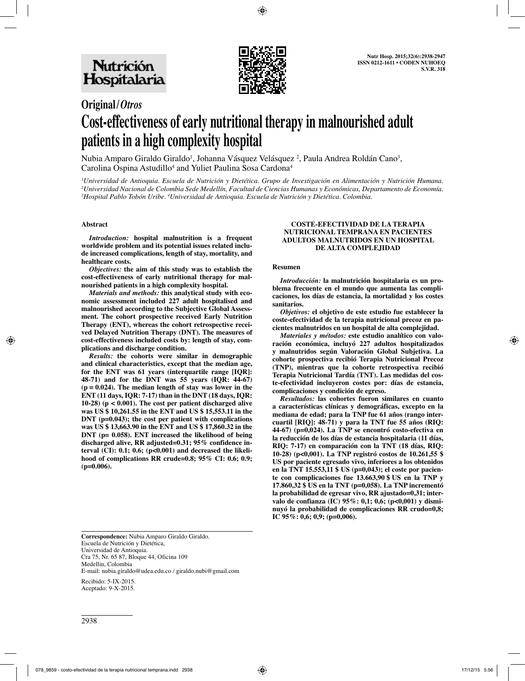

# **Original/***Otros*

# **Cost-effectiveness of early nutritional therapy in malnourished adult patients in a high complexity hospital**

Nubia Amparo Giraldo Giraldo<sup>1</sup>, Johanna Vásquez Velásquez <sup>2</sup>, Paula Andrea Roldán Cano<sup>3</sup>, Carolina Ospina Astudillo<sup>4</sup> and Yuliet Paulina Sosa Cardona<sup>4</sup>

*1 Universidad de Antioquia. Escuela de Nutrición y Dietética. Grupo de Investigación en Alimentación y Nutrición Humana.*  <sup>2</sup>Universidad Nacional de Colombia Sede Medellín, Facultad de Ciencias Humanas y Económicas, Departamento de Economía. *3 Hospital Pablo Tobón Uribe. 4 Universidad de Antioquia. Escuela de Nutrición y Dietética. Colombia.*

# **Abstract**

*Introduction:* **hospital malnutrition is a frequent worldwide problem and its potential issues related include increased complications, length of stay, mortality, and healthcare costs.**

*Objectives:* **the aim of this study was to establish the cost-effectiveness of early nutritional therapy for malnourished patients in a high complexity hospital.**

*Materials and methods:* **this analytical study with economic assessment included 227 adult hospitalised and malnourished according to the Subjective Global Assessment. The cohort prospective received Early Nutrition Therapy (ENT), whereas the cohort retrospective received Delayed Nutrition Therapy (DNT). The measures of cost-effectiveness included costs by: length of stay, complications and discharge condition.** 

*Results:* **the cohorts were similar in demographic and clinical characteristics, except that the median age, for the ENT was 61 years (interquartile range [IQR]: 48-71) and for the DNT was 55 years (IQR: 44-67) (p = 0.024). The median length of stay was lower in the ENT (11 days, IQR: 7-17) than in the DNT (18 days, IQR: 10-28) (p < 0.001). The cost per patient discharged alive was US \$ 10,261.55 in the ENT and US \$ 15,553.11 in the DNT (p=0.043); the cost per patient with complications was US \$ 13,663.90 in the ENT and US \$ 17,860.32 in the DNT (p= 0.058). ENT increased the likelihood of being discharged alive, RR adjusted=0.31; 95% confidence interval (CI): 0.1; 0.6; (p<0.001) and decreased the likelihood of complications RR crude=0.8; 95% CI: 0.6; 0.9; (p=0.006).**

#### **COSTE-EFECTIVIDAD DE LA TERAPIA NUTRICIONAL TEMPRANA EN PACIENTES ADULTOS MALNUTRIDOS EN UN HOSPITAL DE ALTA COMPLEJIDAD**

## **Resumen**

*Introducción:* **la malnutrición hospitalaria es un problema frecuente en el mundo que aumenta las complicaciones, los días de estancia, la mortalidad y los costes sanitarios.**

*Objetivos:* **el objetivo de este estudio fue establecer la coste-efectividad de la terapia nutricional precoz en pacientes malnutridos en un hospital de alta complejidad.**

*Materiales y métodos:* **este estudio analítico con valoración económica, incluyó 227 adultos hospitalizados y malnutridos según Valoración Global Subjetiva. La cohorte prospectiva recibió Terapia Nutricional Precoz (TNP), mientras que la cohorte retrospectiva recibió Terapia Nutricional Tardía (TNT). Las medidas del coste-efectividad incluyeron costes por: días de estancia, complicaciones y condición de egreso.** 

*Resultados:* **las cohortes fueron similares en cuanto a características clínicas y demográficas, excepto en la mediana de edad; para la TNP fue 61 años (rango intercuartil [RIQ]: 48-71) y para la TNT fue 55 años (RIQ: 44-67) (p=0,024). La TNP se encontró costo-efectiva en la reducción de los días de estancia hospitalaria (11 días, RIQ: 7-17) en comparación con la TNT (18 días, RIQ: 10-28) (p<0,001). La TNP registró costos de 10.261,55 \$ US por paciente egresado vivo, inferiores a los obtenidos en la TNT 15.553,11 \$ US (p=0,043); el coste por paciente con complicaciones fue 13.663,90 \$ US en la TNP y 17.860,32 \$ US en la TNT (p=0,058). La TNP incrementó la probabilidad de egresar vivo, RR ajustado=0,31; intervalo de confianza (IC) 95%: 0,1; 0,6; (p<0,001) y disminuyó la probabilidad de complicaciones RR crudo=0,8; IC 95%: 0,6; 0,9; (p=0,006).**

**Correspondence:** Nubia Amparo Giraldo Giraldo. Escuela de Nutrición y Dietética, Universidad de Antioquia. Cra 75, Nr. 65 87, Bloque 44, Oficina 109 Medellin, Colombia E-mail: nubia.giraldo@udea.edu.co / giraldo.nubi@gmail.com Recibido: 5-IX-2015. Aceptado: 9-X-2015.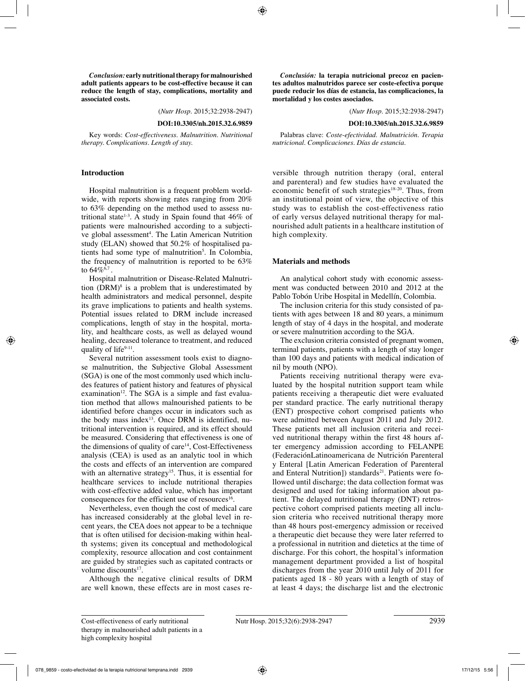*Conclusion:* **early nutritional therapy for malnourished adult patients appears to be cost-effective because it can reduce the length of stay, complications, mortality and associated costs.**

(*Nutr Hosp.* 2015;32:2938-2947)

#### **DOI:10.3305/nh.2015.32.6.9859**

Key words: *Cost-effectiveness. Malnutrition. Nutritional therapy. Complications. Length of stay.*

#### **Introduction**

Hospital malnutrition is a frequent problem worldwide, with reports showing rates ranging from 20% to 63% depending on the method used to assess nutritional state<sup>1-3</sup>. A study in Spain found that  $46\%$  of patients were malnourished according to a subjective global assessment<sup>4</sup>. The Latin American Nutrition study (ELAN) showed that 50.2% of hospitalised patients had some type of malnutrition<sup>5</sup>. In Colombia, the frequency of malnutrition is reported to be 63% to  $64\%^{6,7}$ .

Hospital malnutrition or Disease-Related Malnutrition  $(DRM)^8$  is a problem that is underestimated by health administrators and medical personnel, despite its grave implications to patients and health systems. Potential issues related to DRM include increased complications, length of stay in the hospital, mortality, and healthcare costs, as well as delayed wound healing, decreased tolerance to treatment, and reduced quality of life<sup>9-11</sup>.

Several nutrition assessment tools exist to diagnose malnutrition, the Subjective Global Assessment (SGA) is one of the most commonly used which includes features of patient history and features of physical examination<sup>12</sup>. The SGA is a simple and fast evaluation method that allows malnourished patients to be identified before changes occur in indicators such as the body mass index<sup>13</sup>. Once DRM is identified, nutritional intervention is required, and its effect should be measured. Considering that effectiveness is one of the dimensions of quality of care $14$ , Cost-Effectiveness analysis (CEA) is used as an analytic tool in which the costs and effects of an intervention are compared with an alternative strategy<sup>15</sup>. Thus, it is essential for healthcare services to include nutritional therapies with cost-effective added value, which has important consequences for the efficient use of resources<sup>16</sup>.

Nevertheless, even though the cost of medical care has increased considerably at the global level in recent years, the CEA does not appear to be a technique that is often utilised for decision-making within health systems; given its conceptual and methodological complexity, resource allocation and cost containment are guided by strategies such as capitated contracts or volume discounts<sup>17</sup>.

Although the negative clinical results of DRM are well known, these effects are in most cases re-

*Conclusión:* **la terapia nutricional precoz en pacientes adultos malnutridos parece ser coste-efectiva porque puede reducir los días de estancia, las complicaciones, la mortalidad y los costes asociados.**

(*Nutr Hosp.* 2015;32:2938-2947)

#### **DOI:10.3305/nh.2015.32.6.9859**

Palabras clave: *Coste-efectividad. Malnutrición. Terapia nutricional. Complicaciones. Días de estancia.*

versible through nutrition therapy (oral, enteral and parenteral) and few studies have evaluated the economic benefit of such strategies<sup>18-20</sup>. Thus, from an institutional point of view, the objective of this study was to establish the cost-effectiveness ratio of early versus delayed nutritional therapy for malnourished adult patients in a healthcare institution of high complexity.

#### **Materials and methods**

An analytical cohort study with economic assessment was conducted between 2010 and 2012 at the Pablo Tobón Uribe Hospital in Medellín, Colombia.

The inclusion criteria for this study consisted of patients with ages between 18 and 80 years, a minimum length of stay of 4 days in the hospital, and moderate or severe malnutrition according to the SGA.

The exclusion criteria consisted of pregnant women, terminal patients, patients with a length of stay longer than 100 days and patients with medical indication of nil by mouth (NPO).

Patients receiving nutritional therapy were evaluated by the hospital nutrition support team while patients receiving a therapeutic diet were evaluated per standard practice. The early nutritional therapy (ENT) prospective cohort comprised patients who were admitted between August 2011 and July 2012. These patients met all inclusion criteria and received nutritional therapy within the first 48 hours after emergency admission according to FELANPE (FederaciónLatinoamericana de Nutrición Parenteral y Enteral [Latin American Federation of Parenteral and Enteral Nutrition]) standards $21$ . Patients were followed until discharge; the data collection format was designed and used for taking information about patient. The delayed nutritional therapy (DNT) retrospective cohort comprised patients meeting all inclusion criteria who received nutritional therapy more than 48 hours post-emergency admission or received a therapeutic diet because they were later referred to a professional in nutrition and dietetics at the time of discharge. For this cohort, the hospital's information management department provided a list of hospital discharges from the year 2010 until July of 2011 for patients aged 18 - 80 years with a length of stay of at least 4 days; the discharge list and the electronic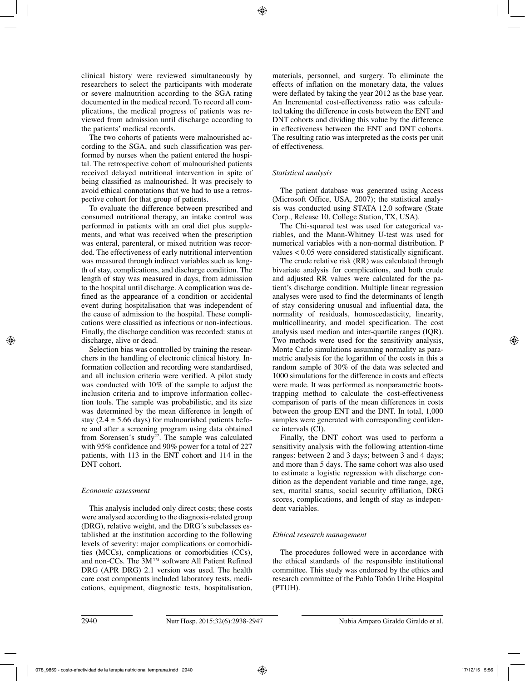clinical history were reviewed simultaneously by researchers to select the participants with moderate or severe malnutrition according to the SGA rating documented in the medical record. To record all complications, the medical progress of patients was reviewed from admission until discharge according to the patients' medical records.

The two cohorts of patients were malnourished according to the SGA, and such classification was performed by nurses when the patient entered the hospital. The retrospective cohort of malnourished patients received delayed nutritional intervention in spite of being classified as malnourished. It was precisely to avoid ethical connotations that we had to use a retrospective cohort for that group of patients.

To evaluate the difference between prescribed and consumed nutritional therapy, an intake control was performed in patients with an oral diet plus supplements, and what was received when the prescription was enteral, parenteral, or mixed nutrition was recorded. The effectiveness of early nutritional intervention was measured through indirect variables such as length of stay, complications, and discharge condition. The length of stay was measured in days, from admission to the hospital until discharge. A complication was defined as the appearance of a condition or accidental event during hospitalisation that was independent of the cause of admission to the hospital. These complications were classified as infectious or non-infectious. Finally, the discharge condition was recorded: status at discharge, alive or dead.

Selection bias was controlled by training the researchers in the handling of electronic clinical history. Information collection and recording were standardised, and all inclusion criteria were verified. A pilot study was conducted with 10% of the sample to adjust the inclusion criteria and to improve information collection tools. The sample was probabilistic, and its size was determined by the mean difference in length of stay (2.4  $\pm$  5.66 days) for malnourished patients before and after a screening program using data obtained from Sorensen's study<sup>22</sup>. The sample was calculated with 95% confidence and 90% power for a total of 227 patients, with 113 in the ENT cohort and 114 in the DNT cohort.

## *Economic assessment*

This analysis included only direct costs; these costs were analysed according to the diagnosis-related group (DRG), relative weight, and the DRG´s subclasses established at the institution according to the following levels of severity: major complications or comorbidities (MCCs), complications or comorbidities (CCs), and non-CCs. The 3M™ software All Patient Refined DRG (APR DRG) 2.1 version was used. The health care cost components included laboratory tests, medications, equipment, diagnostic tests, hospitalisation, materials, personnel, and surgery. To eliminate the effects of inflation on the monetary data, the values were deflated by taking the year 2012 as the base year. An Incremental cost-effectiveness ratio was calculated taking the difference in costs between the ENT and DNT cohorts and dividing this value by the difference in effectiveness between the ENT and DNT cohorts. The resulting ratio was interpreted as the costs per unit of effectiveness.

# *Statistical analysis*

The patient database was generated using Access (Microsoft Office, USA, 2007); the statistical analysis was conducted using STATA 12.0 software (State Corp., Release 10, College Station, TX, USA).

The Chi-squared test was used for categorical variables, and the Mann-Whitney U-test was used for numerical variables with a non-normal distribution. P values < 0.05 were considered statistically significant.

The crude relative risk (RR) was calculated through bivariate analysis for complications, and both crude and adjusted RR values were calculated for the patient's discharge condition. Multiple linear regression analyses were used to find the determinants of length of stay considering unusual and influential data, the normality of residuals, homoscedasticity, linearity, multicollinearity, and model specification. The cost analysis used median and inter-quartile ranges (IQR). Two methods were used for the sensitivity analysis, Monte Carlo simulations assuming normality as parametric analysis for the logarithm of the costs in this a random sample of 30% of the data was selected and 1000 simulations for the difference in costs and effects were made. It was performed as nonparametric bootstrapping method to calculate the cost-effectiveness comparison of parts of the mean differences in costs between the group ENT and the DNT. In total, 1,000 samples were generated with corresponding confidence intervals (CI).

Finally, the DNT cohort was used to perform a sensitivity analysis with the following attention-time ranges: between 2 and 3 days; between 3 and 4 days; and more than 5 days. The same cohort was also used to estimate a logistic regression with discharge condition as the dependent variable and time range, age, sex, marital status, social security affiliation, DRG scores, complications, and length of stay as independent variables.

## *Ethical research management*

The procedures followed were in accordance with the ethical standards of the responsible institutional committee. This study was endorsed by the ethics and research committee of the Pablo Tobón Uribe Hospital (PTUH).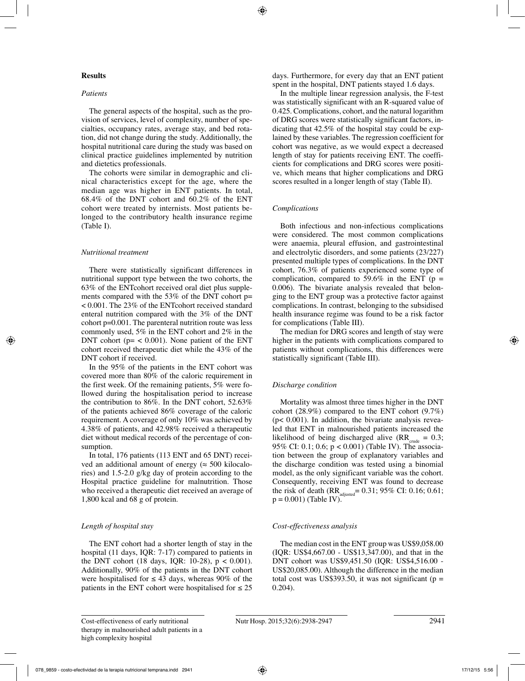## **Results**

#### *Patients*

The general aspects of the hospital, such as the provision of services, level of complexity, number of specialties, occupancy rates, average stay, and bed rotation, did not change during the study. Additionally, the hospital nutritional care during the study was based on clinical practice guidelines implemented by nutrition and dietetics professionals.

The cohorts were similar in demographic and clinical characteristics except for the age, where the median age was higher in ENT patients. In total, 68.4% of the DNT cohort and 60.2% of the ENT cohort were treated by internists. Most patients belonged to the contributory health insurance regime (Table I).

#### *Nutritional treatment*

There were statistically significant differences in nutritional support type between the two cohorts, the 63% of the ENTcohort received oral diet plus supplements compared with the 53% of the DNT cohort p= < 0.001. The 23% of the ENTcohort received standard enteral nutrition compared with the 3% of the DNT cohort p=0.001. The parenteral nutrition route was less commonly used, 5% in the ENT cohort and 2% in the DNT cohort ( $p = < 0.001$ ). None patient of the ENT cohort received therapeutic diet while the 43% of the DNT cohort if received.

In the 95% of the patients in the ENT cohort was covered more than 80% of the caloric requirement in the first week. Of the remaining patients, 5% were followed during the hospitalisation period to increase the contribution to 86%. In the DNT cohort, 52.63% of the patients achieved 86% coverage of the caloric requirement. A coverage of only 10% was achieved by 4.38% of patients, and 42.98% received a therapeutic diet without medical records of the percentage of consumption.

In total, 176 patients (113 ENT and 65 DNT) received an additional amount of energy ( $\approx$  500 kilocalories) and 1.5-2.0 g/kg day of protein according to the Hospital practice guideline for malnutrition. Those who received a therapeutic diet received an average of 1,800 kcal and 68 g of protein.

## *Length of hospital stay*

The ENT cohort had a shorter length of stay in the hospital (11 days, IQR: 7-17) compared to patients in the DNT cohort (18 days, IQR:  $10-28$ ),  $p < 0.001$ ). Additionally, 90% of the patients in the DNT cohort were hospitalised for  $\leq 43$  days, whereas 90% of the patients in the ENT cohort were hospitalised for  $\leq 25$  days. Furthermore, for every day that an ENT patient spent in the hospital, DNT patients stayed 1.6 days.

In the multiple linear regression analysis, the F-test was statistically significant with an R-squared value of 0.425. Complications, cohort, and the natural logarithm of DRG scores were statistically significant factors, indicating that 42.5% of the hospital stay could be explained by these variables. The regression coefficient for cohort was negative, as we would expect a decreased length of stay for patients receiving ENT. The coefficients for complications and DRG scores were positive, which means that higher complications and DRG scores resulted in a longer length of stay (Table II).

## *Complications*

Both infectious and non-infectious complications were considered. The most common complications were anaemia, pleural effusion, and gastrointestinal and electrolytic disorders, and some patients (23/227) presented multiple types of complications. In the DNT cohort, 76.3% of patients experienced some type of complication, compared to 59.6% in the ENT ( $p =$ 0.006). The bivariate analysis revealed that belonging to the ENT group was a protective factor against complications. In contrast, belonging to the subsidised health insurance regime was found to be a risk factor for complications (Table III).

The median for DRG scores and length of stay were higher in the patients with complications compared to patients without complications, this differences were statistically significant (Table III).

## *Discharge condition*

Mortality was almost three times higher in the DNT cohort (28.9%) compared to the ENT cohort (9.7%)  $(p< 0.001)$ . In addition, the bivariate analysis revealed that ENT in malnourished patients increased the likelihood of being discharged alive  $(RR_{\text{crude}} = 0.3;$ 95% CI: 0.1; 0.6; p < 0.001) (Table IV). The association between the group of explanatory variables and the discharge condition was tested using a binomial model, as the only significant variable was the cohort. Consequently, receiving ENT was found to decrease the risk of death (RR<sub>adjusted</sub>= 0.31; 95% CI: 0.16; 0.61;  $p = 0.001$  (Table IV).

## *Cost-effectiveness analysis*

The median cost in the ENT group was US\$9,058.00 (IQR: US\$4,667.00 - US\$13,347.00), and that in the DNT cohort was US\$9,451.50 (IQR: US\$4,516.00 - US\$20,085.00). Although the difference in the median total cost was US\$393.50, it was not significant ( $p =$ 0.204).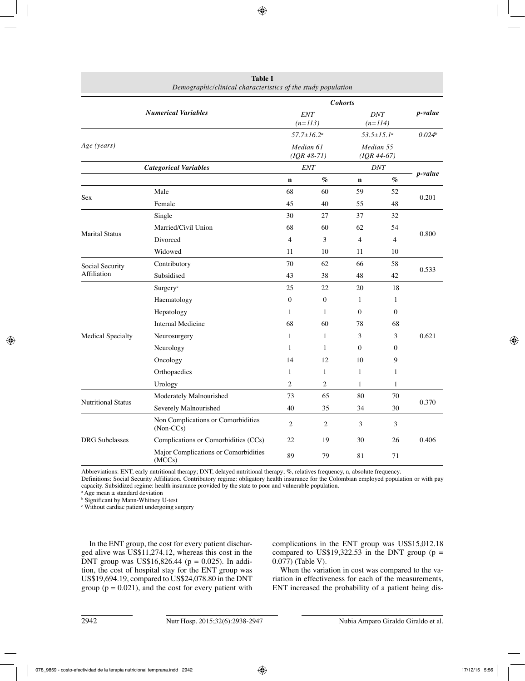|                           | Demographic/clinical characteristics of the study population |                    |                   |                                                    |                |                    |
|---------------------------|--------------------------------------------------------------|--------------------|-------------------|----------------------------------------------------|----------------|--------------------|
|                           |                                                              |                    |                   |                                                    |                |                    |
|                           | <b>Numerical Variables</b>                                   |                    | <b>ENT</b>        | <b>DNT</b>                                         |                | <i>p</i> -value    |
|                           |                                                              |                    | $(n=113)$         | $(n=114)$                                          |                |                    |
|                           |                                                              |                    | $57.7 \pm 16.2^a$ | $53.5 \pm 15.1^a$                                  |                | 0.024 <sup>b</sup> |
| Age (years)               |                                                              |                    | Median 61         | Median 55                                          |                |                    |
|                           |                                                              | $(IQR 48-71)$      |                   | $(IQR 44-67)$                                      |                |                    |
|                           | <b>Categorical Variables</b>                                 | <b>ENT</b><br>$\%$ |                   | <b>DNT</b><br>$\emph{v}_{\emph{0}}$<br>$\mathbf n$ |                | <i>p</i> -value    |
|                           | Male                                                         | $\mathbf n$<br>68  | 60                | 59                                                 | 52             |                    |
| Sex                       | Female                                                       | 45                 | 40                | 55                                                 | 48             | 0.201              |
|                           |                                                              | 30                 |                   | 37                                                 | 32             |                    |
|                           | Single                                                       |                    | 27                |                                                    |                |                    |
| <b>Marital Status</b>     | Married/Civil Union                                          | 68                 | 60                | 62                                                 | 54             | 0.800              |
|                           | Divorced                                                     | $\overline{4}$     | 3                 | $\overline{4}$                                     | $\overline{4}$ |                    |
|                           | Widowed                                                      | 11                 | 10                | 11                                                 | 10             |                    |
| Social Security           | Contributory                                                 | 70                 | 62                | 66                                                 | 58             | 0.533              |
| Affiliation               | Subsidised                                                   | 43                 | 38                | 48                                                 | 42             |                    |
|                           | Surgery <sup>c</sup>                                         | 25                 | 22                | 20                                                 | 18             |                    |
|                           | Haematology                                                  | $\mathbf{0}$       | $\boldsymbol{0}$  | $\mathbf{1}$                                       | $\mathbf{1}$   |                    |
|                           | Hepatology                                                   | 1                  | $\mathbf{1}$      | $\Omega$                                           | $\Omega$       |                    |
|                           | <b>Internal Medicine</b>                                     | 68                 | 60                | 78                                                 | 68             |                    |
| <b>Medical Specialty</b>  | Neurosurgery                                                 | 1                  | 1                 | 3                                                  | 3              | 0.621              |
|                           | Neurology                                                    | 1                  | 1                 | $\overline{0}$                                     | $\mathbf{0}$   |                    |
|                           | Oncology                                                     | 14                 | 12                | 10                                                 | 9              |                    |
|                           | Orthopaedics                                                 | 1                  | 1                 | 1                                                  | 1              |                    |
|                           | Urology                                                      | $\overline{2}$     | $\overline{c}$    | $\mathbf{1}$                                       | $\mathbf{1}$   |                    |
|                           | Moderately Malnourished                                      | 73                 | 65                | 80                                                 | 70             |                    |
| <b>Nutritional Status</b> | Severely Malnourished                                        | 40                 | 35                | 34                                                 | 30             | 0.370              |
|                           | Non Complications or Comorbidities<br>$(Non-CCs)$            | $\overline{c}$     | $\mathbf{2}$      | 3                                                  | 3              |                    |
| <b>DRG</b> Subclasses     | Complications or Comorbidities (CCs)                         | 22                 | 19                | 30                                                 | 26             | 0.406              |
|                           | Major Complications or Comorbidities<br>(MCCs)               | 89                 | 79                | 81                                                 | 71             |                    |

**Table I** 

Abbreviations: ENT, early nutritional therapy; DNT, delayed nutritional therapy; %, relatives frequency, n, absolute frequency.

Definitions: Social Security Affiliation. Contributory regime: obligatory health insurance for the Colombian employed population or with pay capacity. Subsidized regime: health insurance provided by the state to poor and vulnerable population.

a Age mean ± standard deviation

b Significant by Mann-Whitney U-test

c Without cardiac patient undergoing surgery

In the ENT group, the cost for every patient discharged alive was US\$11,274.12, whereas this cost in the DNT group was US\$16,826.44 ( $p = 0.025$ ). In addition, the cost of hospital stay for the ENT group was US\$19,694.19, compared to US\$24,078.80 in the DNT group ( $p = 0.021$ ), and the cost for every patient with complications in the ENT group was US\$15,012.18 compared to US\$19,322.53 in the DNT group ( $p =$ 0.077) (Table V).

When the variation in cost was compared to the variation in effectiveness for each of the measurements, ENT increased the probability of a patient being dis-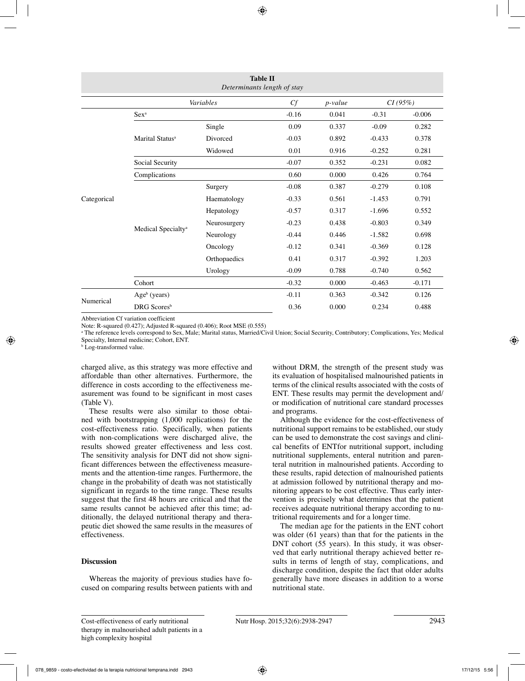| <b>Table II</b><br>Determinants length of stay |                                |              |         |          |          |          |  |  |  |
|------------------------------------------------|--------------------------------|--------------|---------|----------|----------|----------|--|--|--|
| Variables<br>Cf<br>CI(95%)<br><i>p</i> -value  |                                |              |         |          |          |          |  |  |  |
|                                                | Sex <sup>a</sup>               |              | $-0.16$ | 0.041    | $-0.31$  | $-0.006$ |  |  |  |
|                                                |                                | Single       | 0.09    | 0.337    | $-0.09$  | 0.282    |  |  |  |
|                                                | Marital Status <sup>a</sup>    | Divorced     | $-0.03$ | 0.892    | $-0.433$ | 0.378    |  |  |  |
|                                                |                                | Widowed      | 0.01    | 0.916    | $-0.252$ | 0.281    |  |  |  |
|                                                | Social Security                | $-0.07$      | 0.352   | $-0.231$ | 0.082    |          |  |  |  |
|                                                | Complications                  | 0.60         | 0.000   | 0.426    | 0.764    |          |  |  |  |
|                                                |                                | Surgery      | $-0.08$ | 0.387    | $-0.279$ | 0.108    |  |  |  |
| Categorical                                    |                                | Haematology  | $-0.33$ | 0.561    | $-1.453$ | 0.791    |  |  |  |
|                                                |                                | Hepatology   | $-0.57$ | 0.317    | $-1.696$ | 0.552    |  |  |  |
|                                                |                                | Neurosurgery | $-0.23$ | 0.438    | $-0.803$ | 0.349    |  |  |  |
|                                                | Medical Specialty <sup>a</sup> | Neurology    | $-0.44$ | 0.446    | $-1.582$ | 0.698    |  |  |  |
|                                                |                                | Oncology     | $-0.12$ | 0.341    | $-0.369$ | 0.128    |  |  |  |
|                                                |                                | Orthopaedics | 0.41    | 0.317    | $-0.392$ | 1.203    |  |  |  |
|                                                |                                | Urology      | $-0.09$ | 0.788    | $-0.740$ | 0.562    |  |  |  |
|                                                | Cohort                         |              | $-0.32$ | 0.000    | $-0.463$ | $-0.171$ |  |  |  |
| Numerical                                      | $Ageb$ (years)                 |              | $-0.11$ | 0.363    | $-0.342$ | 0.126    |  |  |  |
|                                                | DRG Scores <sup>b</sup>        | 0.36         | 0.000   | 0.234    | 0.488    |          |  |  |  |

Abbreviation Cf variation coefficient

Note: R-squared (0.427); Adjusted R-squared (0.406); Root MSE (0.555)

a The reference levels correspond to Sex, Male; Marital status, Married/Civil Union; Social Security, Contributory; Complications, Yes; Medical Specialty, Internal medicine; Cohort, ENT.

b Log-transformed value.

charged alive, as this strategy was more effective and affordable than other alternatives. Furthermore, the difference in costs according to the effectiveness measurement was found to be significant in most cases (Table V).

These results were also similar to those obtained with bootstrapping (1,000 replications) for the cost-effectiveness ratio. Specifically, when patients with non-complications were discharged alive, the results showed greater effectiveness and less cost. The sensitivity analysis for DNT did not show significant differences between the effectiveness measurements and the attention-time ranges. Furthermore, the change in the probability of death was not statistically significant in regards to the time range. These results suggest that the first 48 hours are critical and that the same results cannot be achieved after this time; additionally, the delayed nutritional therapy and therapeutic diet showed the same results in the measures of effectiveness.

# **Discussion**

Whereas the majority of previous studies have focused on comparing results between patients with and without DRM, the strength of the present study was its evaluation of hospitalised malnourished patients in terms of the clinical results associated with the costs of ENT. These results may permit the development and/ or modification of nutritional care standard processes and programs.

Although the evidence for the cost-effectiveness of nutritional support remains to be established, our study can be used to demonstrate the cost savings and clinical benefits of ENTfor nutritional support, including nutritional supplements, enteral nutrition and parenteral nutrition in malnourished patients. According to these results, rapid detection of malnourished patients at admission followed by nutritional therapy and monitoring appears to be cost effective. Thus early intervention is precisely what determines that the patient receives adequate nutritional therapy according to nutritional requirements and for a longer time.

The median age for the patients in the ENT cohort was older (61 years) than that for the patients in the DNT cohort (55 years). In this study, it was observed that early nutritional therapy achieved better results in terms of length of stay, complications, and discharge condition, despite the fact that older adults generally have more diseases in addition to a worse nutritional state.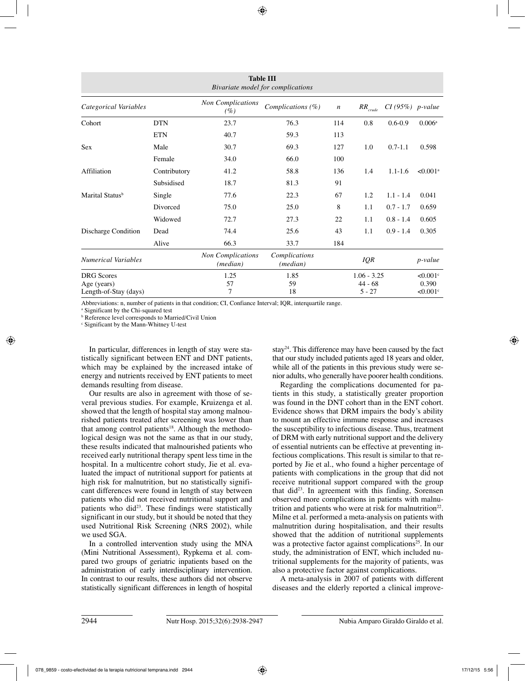| <b>Table III</b><br>Bivariate model for complications |              |                                               |                                    |                  |                       |                   |                                    |  |  |  |
|-------------------------------------------------------|--------------|-----------------------------------------------|------------------------------------|------------------|-----------------------|-------------------|------------------------------------|--|--|--|
| Categorical Variables                                 |              | <b>Non Complications</b><br>(%)               | Complications (%)                  | $\boldsymbol{n}$ | $R R_{\it crude}$     | $CI(95%)$ p-value |                                    |  |  |  |
| Cohort                                                | <b>DTN</b>   | 23.7                                          | 76.3                               | 114              | 0.8                   | $0.6 - 0.9$       | 0.006 <sup>a</sup>                 |  |  |  |
|                                                       | <b>ETN</b>   | 40.7                                          | 59.3                               | 113              |                       |                   |                                    |  |  |  |
| <b>Sex</b>                                            | Male         | 30.7                                          | 69.3                               | 127              | 1.0                   | $0.7 - 1.1$       | 0.598                              |  |  |  |
|                                                       | Female       | 34.0                                          | 66.0                               | 100              |                       |                   |                                    |  |  |  |
| Affiliation                                           | Contributory | 41.2                                          | 58.8                               | 136              | 1.4                   | $1.1 - 1.6$       | $< 0.001$ <sup>a</sup>             |  |  |  |
|                                                       | Subsidised   | 18.7                                          | 81.3                               | 91               |                       |                   |                                    |  |  |  |
| Marital Status <sup>b</sup>                           | Single       | 77.6                                          | 22.3                               | 67               | 1.2                   | $1.1 - 1.4$       | 0.041                              |  |  |  |
|                                                       | Divorced     | 75.0                                          | 25.0                               | 8                | 1.1                   | $0.7 - 1.7$       | 0.659                              |  |  |  |
|                                                       | Widowed      | 72.7                                          | 27.3                               | 22               | 1.1                   | $0.8 - 1.4$       | 0.605                              |  |  |  |
| Discharge Condition                                   | Dead         | 74.4                                          | 25.6                               | 43               | 1.1                   | $0.9 - 1.4$       | 0.305                              |  |  |  |
|                                                       | Alive        | 66.3                                          | 33.7                               | 184              |                       |                   |                                    |  |  |  |
| <b>Numerical Variables</b>                            |              | <b>Non Complications</b><br>( <i>median</i> ) | Complications<br>( <i>median</i> ) |                  | IQR                   |                   | <i>p</i> -value                    |  |  |  |
| <b>DRG</b> Scores                                     |              | 1.25                                          | 1.85                               | $1.06 - 3.25$    |                       |                   | $< 0.001$ c                        |  |  |  |
| Age (years)<br>Length-of-Stay (days)                  |              | 57<br>7                                       | 59<br>18                           |                  | $44 - 68$<br>$5 - 27$ |                   | 0.390<br>$\leq 0.001$ <sup>c</sup> |  |  |  |

Abbreviations: n, number of patients in that condition; CI, Confiance Interval; IQR, interquartile range.

a Significant by the Chi-squared test

b Reference level corresponds to Married/Civil Union

c Significant by the Mann-Whitney U-test

In particular, differences in length of stay were statistically significant between ENT and DNT patients, which may be explained by the increased intake of energy and nutrients received by ENT patients to meet demands resulting from disease.

Our results are also in agreement with those of several previous studies. For example, Kruizenga et al. showed that the length of hospital stay among malnourished patients treated after screening was lower than that among control patients<sup>18</sup>. Although the methodological design was not the same as that in our study, these results indicated that malnourished patients who received early nutritional therapy spent less time in the hospital. In a multicentre cohort study, Jie et al. evaluated the impact of nutritional support for patients at high risk for malnutrition, but no statistically significant differences were found in length of stay between patients who did not received nutritional support and patients who did<sup>23</sup>. These findings were statistically significant in our study, but it should be noted that they used Nutritional Risk Screening (NRS 2002), while we used SGA.

In a controlled intervention study using the MNA (Mini Nutritional Assessment), Rypkema et al. compared two groups of geriatric inpatients based on the administration of early interdisciplinary intervention. In contrast to our results, these authors did not observe statistically significant differences in length of hospital stay24. This difference may have been caused by the fact that our study included patients aged 18 years and older, while all of the patients in this previous study were senior adults, who generally have poorer health conditions.

Regarding the complications documented for patients in this study, a statistically greater proportion was found in the DNT cohort than in the ENT cohort. Evidence shows that DRM impairs the body's ability to mount an effective immune response and increases the susceptibility to infectious disease. Thus, treatment of DRM with early nutritional support and the delivery of essential nutrients can be effective at preventing infectious complications. This result is similar to that reported by Jie et al., who found a higher percentage of patients with complications in the group that did not receive nutritional support compared with the group that did23. In agreement with this finding, Sorensen observed more complications in patients with malnutrition and patients who were at risk for malnutrition<sup>22</sup>. Milne et al. performed a meta-analysis on patients with malnutrition during hospitalisation, and their results showed that the addition of nutritional supplements was a protective factor against complications<sup>25</sup>. In our study, the administration of ENT, which included nutritional supplements for the majority of patients, was also a protective factor against complications.

A meta-analysis in 2007 of patients with different diseases and the elderly reported a clinical improve-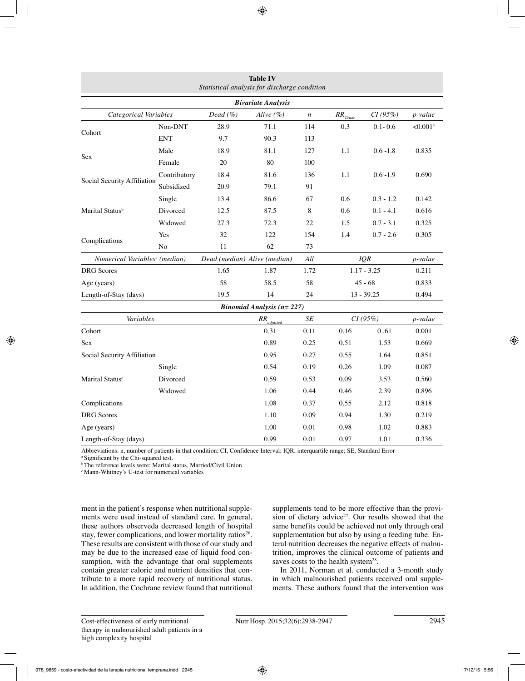|                                           |                |                                   | <b>Table IV</b><br>Statistical analysis for discharge condition |         |                                  |                 |                        |  |  |  |
|-------------------------------------------|----------------|-----------------------------------|-----------------------------------------------------------------|---------|----------------------------------|-----------------|------------------------|--|--|--|
| <b>Bivariate Analysis</b>                 |                |                                   |                                                                 |         |                                  |                 |                        |  |  |  |
| Categorical Variables                     |                | Dead $(\% )$                      | Alive $(\% )$                                                   |         | CI(95%)<br>$RR_{\textit{Crude}}$ |                 | p-value                |  |  |  |
| Cohort                                    | Non-DNT        | 28.9                              | 71.1                                                            | 114     | 0.3                              | $0.1 - 0.6$     | $< 0.001$ <sup>a</sup> |  |  |  |
|                                           | <b>ENT</b>     | 9.7                               | 90.3                                                            | 113     |                                  |                 |                        |  |  |  |
|                                           | Male           | 18.9                              | 81.1                                                            | 127     | 1.1                              | $0.6 - 1.8$     | 0.835                  |  |  |  |
| Sex                                       | Female         | 20                                | 80<br>100                                                       |         |                                  |                 |                        |  |  |  |
| Social Security Affiliation               | Contributory   | 18.4                              | 81.6                                                            | 136     | 1.1                              | $0.6 - 1.9$     | 0.690                  |  |  |  |
|                                           | Subsidized     | 20.9                              | 79.1                                                            | 91      |                                  |                 |                        |  |  |  |
|                                           | Single         | 13.4                              | 86.6                                                            | 67      | 0.6                              | $0.3 - 1.2$     | 0.142                  |  |  |  |
| Marital Status <sup>b</sup>               | Divorced       | 12.5                              | 87.5                                                            | 8       | 0.6                              | $0.1 - 4.1$     | 0.616                  |  |  |  |
|                                           | Widowed        | 27.3                              | 72.3                                                            | 22      | 1.5                              | $0.7 - 3.1$     | 0.325                  |  |  |  |
|                                           | Yes            | 32                                | 122                                                             | 154     | 1.4                              | $0.7 - 2.6$     | 0.305                  |  |  |  |
| Complications                             | N <sub>0</sub> | 11                                | 62                                                              | 73      |                                  |                 |                        |  |  |  |
| Numerical Variables <sup>c</sup> (median) |                | Dead (median) Alive (median)      |                                                                 | All     | <b>IQR</b>                       |                 | p-value                |  |  |  |
| <b>DRG</b> Scores                         |                | 1.65                              | 1.72<br>1.87                                                    |         | $1.17 - 3.25$                    | 0.211           |                        |  |  |  |
| Age (years)                               |                | 58                                | 58.5                                                            | 58      | $45 - 68$                        |                 | 0.833                  |  |  |  |
| Length-of-Stay (days)                     |                | 19.5                              | 14                                                              | 24      | $13 - 39.25$                     |                 | 0.494                  |  |  |  |
|                                           |                |                                   | <b>Binomial Analysis (<math>n = 227</math>)</b>                 |         |                                  |                 |                        |  |  |  |
| Variables                                 |                | $\mathit{RR}_{\mathit{adjusted}}$ | SE                                                              | CI(95%) |                                  | <i>p</i> -value |                        |  |  |  |
| Cohort                                    |                |                                   | 0.31                                                            | 0.11    | 0.16                             | 0.61            | 0.001                  |  |  |  |
| Sex                                       |                |                                   | 0.89                                                            | 0.25    | 0.51                             | 1.53            | 0.669                  |  |  |  |
| Social Security Affiliation               |                |                                   | 0.95                                                            | 0.27    | 0.55                             | 1.64            | 0.851                  |  |  |  |
|                                           | Single         |                                   | 0.54                                                            | 0.19    | 0.26                             | 1.09            | 0.087                  |  |  |  |
| Marital Status <sup>c</sup>               | Divorced       |                                   | 0.59                                                            | 0.53    | 0.09                             | 3.53            | 0.560                  |  |  |  |
|                                           | Widowed        |                                   | 1.06                                                            | 0.44    | 0.46                             | 2.39            | 0.896                  |  |  |  |
| Complications                             |                |                                   | 1.08                                                            | 0.37    | 0.55                             | 2.12            | 0.818                  |  |  |  |
| <b>DRG</b> Scores                         |                |                                   | 1.10                                                            | 0.09    | 0.94                             | 1.30            | 0.219                  |  |  |  |
| Age (years)                               |                |                                   | 1.00                                                            | 0.01    | 0.98                             | 1.02            | 0.883                  |  |  |  |
| Length-of-Stay (days)                     |                |                                   | 0.99                                                            | 0.01    | 0.97                             | 1.01            | 0.336                  |  |  |  |

Abbreviations: n, number of patients in that condition; CI, Confidence Interval; IQR, interquartile range; SE, Standard Error

<sup>a</sup> Significant by the Chi-squared test.

**b** The reference levels were: Marital status, Married/Civil Union.

c Mann-Whitney's U-test for numerical variables

ment in the patient's response when nutritional supplements were used instead of standard care. In general, these authors observeda decreased length of hospital stay, fewer complications, and lower mortality ratios<sup>26</sup>. These results are consistent with those of our study and may be due to the increased ease of liquid food consumption, with the advantage that oral supplements contain greater caloric and nutrient densities that contribute to a more rapid recovery of nutritional status. In addition, the Cochrane review found that nutritional supplements tend to be more effective than the provision of dietary advice<sup>27</sup>. Our results showed that the same benefits could be achieved not only through oral supplementation but also by using a feeding tube. Enteral nutrition decreases the negative effects of malnutrition, improves the clinical outcome of patients and saves costs to the health system<sup>28</sup>.

In 2011, Norman et al. conducted a 3-month study in which malnourished patients received oral supplements. These authors found that the intervention was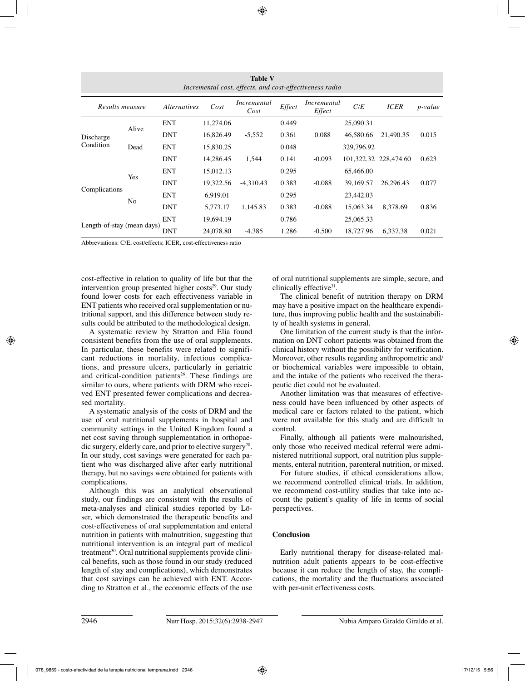| <b>Table V</b><br>Incremental cost, effects, and cost-effectiveness radio |                |                     |           |                     |        |                       |            |                       |                 |  |
|---------------------------------------------------------------------------|----------------|---------------------|-----------|---------------------|--------|-----------------------|------------|-----------------------|-----------------|--|
| Results measure                                                           |                | <i>Alternatives</i> | Cost      | Incremental<br>Cost | Effect | Incremental<br>Effect | C/E        | <b>ICER</b>           | <i>p</i> -value |  |
| Discharge<br>Condition                                                    | Alive          | <b>ENT</b>          | 11,274.06 |                     | 0.449  |                       | 25,090.31  |                       |                 |  |
|                                                                           |                | <b>DNT</b>          | 16,826.49 | $-5,552$            | 0.361  | 0.088                 | 46.580.66  | 21,490.35             | 0.015           |  |
|                                                                           | Dead           | <b>ENT</b>          | 15,830.25 |                     | 0.048  |                       | 329,796.92 |                       |                 |  |
|                                                                           |                | <b>DNT</b>          | 14.286.45 | 1.544               | 0.141  | $-0.093$              |            | 101,322.32 228,474.60 | 0.623           |  |
| Complications                                                             | Yes            | <b>ENT</b>          | 15,012.13 |                     | 0.295  |                       | 65,466.00  |                       |                 |  |
|                                                                           |                | <b>DNT</b>          | 19,322.56 | $-4.310.43$         | 0.383  | $-0.088$              | 39,169.57  | 26.296.43             | 0.077           |  |
|                                                                           | N <sub>0</sub> | <b>ENT</b>          | 6,919.01  |                     | 0.295  |                       | 23,442.03  |                       |                 |  |
|                                                                           |                | <b>DNT</b>          | 5,773.17  | 1.145.83            | 0.383  | $-0.088$              | 15,063.34  | 8.378.69              | 0.836           |  |
| Length-of-stay (mean days)                                                |                | <b>ENT</b>          | 19,694.19 |                     | 0.786  |                       | 25,065.33  |                       |                 |  |
|                                                                           |                | DNT                 | 24,078.80 | $-4.385$            | 1.286  | $-0.500$              | 18,727.96  | 6.337.38              | 0.021           |  |

Abbreviations: C/E, cost/effects; ICER, cost-effectiveness ratio

cost-effective in relation to quality of life but that the intervention group presented higher  $costs<sup>29</sup>$ . Our study found lower costs for each effectiveness variable in ENT patients who received oral supplementation or nutritional support, and this difference between study results could be attributed to the methodological design.

A systematic review by Stratton and Elia found consistent benefits from the use of oral supplements. In particular, these benefits were related to significant reductions in mortality, infectious complications, and pressure ulcers, particularly in geriatric and critical-condition patients<sup>26</sup>. These findings are similar to ours, where patients with DRM who received ENT presented fewer complications and decreased mortality.

A systematic analysis of the costs of DRM and the use of oral nutritional supplements in hospital and community settings in the United Kingdom found a net cost saving through supplementation in orthopaedic surgery, elderly care, and prior to elective surgery<sup>20</sup>. In our study, cost savings were generated for each patient who was discharged alive after early nutritional therapy, but no savings were obtained for patients with complications.

Although this was an analytical observational study, our findings are consistent with the results of meta-analyses and clinical studies reported by Löser, which demonstrated the therapeutic benefits and cost-effectiveness of oral supplementation and enteral nutrition in patients with malnutrition, suggesting that nutritional intervention is an integral part of medical treatment<sup>30</sup>. Oral nutritional supplements provide clinical benefits, such as those found in our study (reduced length of stay and complications), which demonstrates that cost savings can be achieved with ENT. According to Stratton et al., the economic effects of the use

of oral nutritional supplements are simple, secure, and clinically effective<sup>31</sup>.

The clinical benefit of nutrition therapy on DRM may have a positive impact on the healthcare expenditure, thus improving public health and the sustainability of health systems in general.

One limitation of the current study is that the information on DNT cohort patients was obtained from the clinical history without the possibility for verification. Moreover, other results regarding anthropometric and/ or biochemical variables were impossible to obtain, and the intake of the patients who received the therapeutic diet could not be evaluated.

Another limitation was that measures of effectiveness could have been influenced by other aspects of medical care or factors related to the patient, which were not available for this study and are difficult to control.

Finally, although all patients were malnourished, only those who received medical referral were administered nutritional support, oral nutrition plus supplements, enteral nutrition, parenteral nutrition, or mixed.

For future studies, if ethical considerations allow, we recommend controlled clinical trials. In addition, we recommend cost-utility studies that take into account the patient's quality of life in terms of social perspectives.

## **Conclusion**

Early nutritional therapy for disease-related malnutrition adult patients appears to be cost-effective because it can reduce the length of stay, the complications, the mortality and the fluctuations associated with per-unit effectiveness costs.